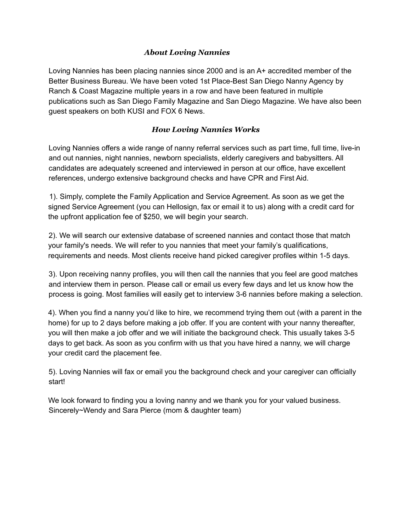## *About Loving Nannies*

Loving Nannies has been placing nannies since 2000 and is an A+ accredited member of the Better Business Bureau. We have been voted 1st Place-Best San Diego Nanny Agency by Ranch & Coast Magazine multiple years in a row and have been featured in multiple publications such as San Diego Family Magazine and San Diego Magazine. We have also been guest speakers on both KUSI and FOX 6 News.

## *How Loving Nannies Works*

Loving Nannies offers a wide range of nanny referral services such as part time, full time, live-in and out nannies, night nannies, newborn specialists, elderly caregivers and babysitters. All candidates are adequately screened and interviewed in person at our office, have excellent references, undergo extensive background checks and have CPR and First Aid.

1). Simply, complete the Family Application and Service Agreement. As soon as we get the signed Service Agreement (you can Hellosign, fax or email it to us) along with a credit card for the upfront application fee of \$250, we will begin your search.

2). We will search our extensive database of screened nannies and contact those that match your family's needs. We will refer to you nannies that meet your family's qualifications, requirements and needs. Most clients receive hand picked caregiver profiles within 1-5 days.

3). Upon receiving nanny profiles, you will then call the nannies that you feel are good matches and interview them in person. Please call or email us every few days and let us know how the process is going. Most families will easily get to interview 3-6 nannies before making a selection.

4). When you find a nanny you'd like to hire, we recommend trying them out (with a parent in the home) for up to 2 days before making a job offer. If you are content with your nanny thereafter, you will then make a job offer and we will initiate the background check. This usually takes 3-5 days to get back. As soon as you confirm with us that you have hired a nanny, we will charge your credit card the placement fee.

5). Loving Nannies will fax or email you the background check and your caregiver can officially start!

We look forward to finding you a loving nanny and we thank you for your valued business. Sincerely~Wendy and Sara Pierce (mom & daughter team)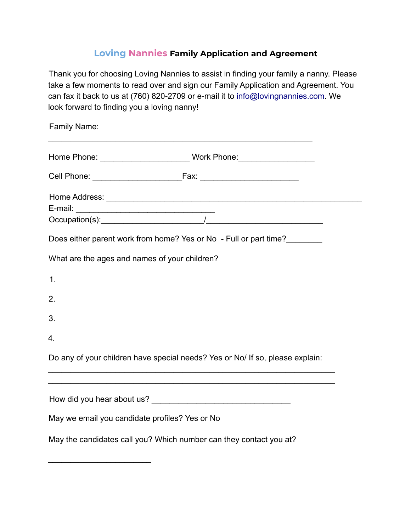## **Loving Nannies Family Application and Agreement**

Thank you for choosing Loving Nannies to assist in finding your family a nanny. Please take a few moments to read over and sign our Family Application and Agreement. You can fax it back to us at (760) 820-2709 or e-mail it to info@lovingnannies.com. We look forward to finding you a loving nanny!

| Family Name:                                                                                                       |
|--------------------------------------------------------------------------------------------------------------------|
|                                                                                                                    |
|                                                                                                                    |
|                                                                                                                    |
|                                                                                                                    |
| Does either parent work from home? Yes or No - Full or part time?<br>What are the ages and names of your children? |
| 1.                                                                                                                 |
| 2.                                                                                                                 |
| 3.                                                                                                                 |
| 4.                                                                                                                 |
| Do any of your children have special needs? Yes or No/ If so, please explain:                                      |
|                                                                                                                    |
|                                                                                                                    |
| May we email you candidate profiles? Yes or No                                                                     |
| May the candidates call you? Which number can they contact you at?                                                 |

\_\_\_\_\_\_\_\_\_\_\_\_\_\_\_\_\_\_\_\_\_\_\_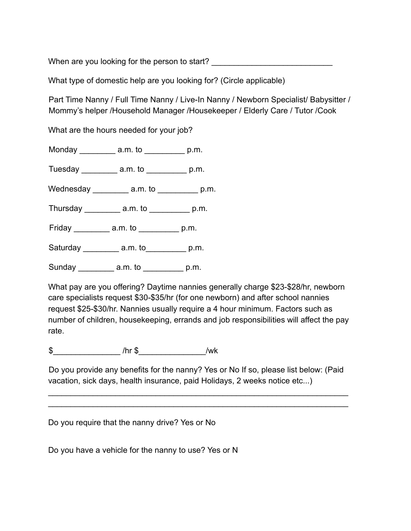When are you looking for the person to start?

What type of domestic help are you looking for? (Circle applicable)

Part Time Nanny / Full Time Nanny / Live-In Nanny / Newborn Specialist/ Babysitter / Mommy's helper /Household Manager /Housekeeper / Elderly Care / Tutor /Cook

What are the hours needed for your job?

Monday \_\_\_\_\_\_\_\_\_ a.m. to \_\_\_\_\_\_\_\_\_ p.m.

Tuesday a.m. to p.m.

Wednesday a.m. to p.m.

Thursday \_\_\_\_\_\_\_\_ a.m. to \_\_\_\_\_\_\_\_\_ p.m.

Friday \_\_\_\_\_\_\_\_\_ a.m. to \_\_\_\_\_\_\_\_\_ p.m.

Saturday \_\_\_\_\_\_\_\_\_ a.m. to\_\_\_\_\_\_\_\_\_\_ p.m.

Sunday a.m. to p.m.

What pay are you offering? Daytime nannies generally charge \$23-\$28/hr, newborn care specialists request \$30-\$35/hr (for one newborn) and after school nannies request \$25-\$30/hr. Nannies usually require a 4 hour minimum. Factors such as number of children, housekeeping, errands and job responsibilities will affect the pay rate.

 $\frac{1}{2}$  /hr  $\frac{1}{2}$  /wk

Do you provide any benefits for the nanny? Yes or No If so, please list below: (Paid vacation, sick days, health insurance, paid Holidays, 2 weeks notice etc...)

\_\_\_\_\_\_\_\_\_\_\_\_\_\_\_\_\_\_\_\_\_\_\_\_\_\_\_\_\_\_\_\_\_\_\_\_\_\_\_\_\_\_\_\_\_\_\_\_\_\_\_\_\_\_\_\_\_\_\_\_\_\_\_\_\_\_\_ \_\_\_\_\_\_\_\_\_\_\_\_\_\_\_\_\_\_\_\_\_\_\_\_\_\_\_\_\_\_\_\_\_\_\_\_\_\_\_\_\_\_\_\_\_\_\_\_\_\_\_\_\_\_\_\_\_\_\_\_\_\_\_\_\_\_\_

Do you require that the nanny drive? Yes or No

Do you have a vehicle for the nanny to use? Yes or N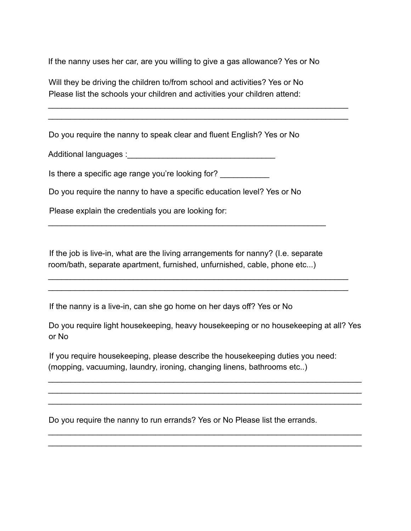If the nanny uses her car, are you willing to give a gas allowance? Yes or No

\_\_\_\_\_\_\_\_\_\_\_\_\_\_\_\_\_\_\_\_\_\_\_\_\_\_\_\_\_\_\_\_\_\_\_\_\_\_\_\_\_\_\_\_\_\_\_\_\_\_\_\_\_\_\_\_\_\_\_\_\_\_\_\_\_\_\_ \_\_\_\_\_\_\_\_\_\_\_\_\_\_\_\_\_\_\_\_\_\_\_\_\_\_\_\_\_\_\_\_\_\_\_\_\_\_\_\_\_\_\_\_\_\_\_\_\_\_\_\_\_\_\_\_\_\_\_\_\_\_\_\_\_\_\_

Will they be driving the children to/from school and activities? Yes or No Please list the schools your children and activities your children attend:

Do you require the nanny to speak clear and fluent English? Yes or No

Additional languages :\_\_\_\_\_\_\_\_\_\_\_\_\_\_\_\_\_\_\_\_\_\_\_\_\_\_\_\_\_\_\_\_\_

Is there a specific age range you're looking for? \_\_\_\_\_\_\_\_\_\_\_\_

Do you require the nanny to have a specific education level? Yes or No

Please explain the credentials you are looking for:

If the job is live-in, what are the living arrangements for nanny? (I.e. separate room/bath, separate apartment, furnished, unfurnished, cable, phone etc...)

\_\_\_\_\_\_\_\_\_\_\_\_\_\_\_\_\_\_\_\_\_\_\_\_\_\_\_\_\_\_\_\_\_\_\_\_\_\_\_\_\_\_\_\_\_\_\_\_\_\_\_\_\_\_\_\_\_\_\_\_\_\_\_\_\_\_\_ \_\_\_\_\_\_\_\_\_\_\_\_\_\_\_\_\_\_\_\_\_\_\_\_\_\_\_\_\_\_\_\_\_\_\_\_\_\_\_\_\_\_\_\_\_\_\_\_\_\_\_\_\_\_\_\_\_\_\_\_\_\_\_\_\_\_\_

\_\_\_\_\_\_\_\_\_\_\_\_\_\_\_\_\_\_\_\_\_\_\_\_\_\_\_\_\_\_\_\_\_\_\_\_\_\_\_\_\_\_\_\_\_\_\_\_\_\_\_\_\_\_\_\_\_\_\_\_\_\_

If the nanny is a live-in, can she go home on her days off? Yes or No

Do you require light housekeeping, heavy housekeeping or no housekeeping at all? Yes or No

\_\_\_\_\_\_\_\_\_\_\_\_\_\_\_\_\_\_\_\_\_\_\_\_\_\_\_\_\_\_\_\_\_\_\_\_\_\_\_\_\_\_\_\_\_\_\_\_\_\_\_\_\_\_\_\_\_\_\_\_\_\_\_\_\_\_\_\_\_\_ \_\_\_\_\_\_\_\_\_\_\_\_\_\_\_\_\_\_\_\_\_\_\_\_\_\_\_\_\_\_\_\_\_\_\_\_\_\_\_\_\_\_\_\_\_\_\_\_\_\_\_\_\_\_\_\_\_\_\_\_\_\_\_\_\_\_\_\_\_\_ \_\_\_\_\_\_\_\_\_\_\_\_\_\_\_\_\_\_\_\_\_\_\_\_\_\_\_\_\_\_\_\_\_\_\_\_\_\_\_\_\_\_\_\_\_\_\_\_\_\_\_\_\_\_\_\_\_\_\_\_\_\_\_\_\_\_\_\_\_\_

\_\_\_\_\_\_\_\_\_\_\_\_\_\_\_\_\_\_\_\_\_\_\_\_\_\_\_\_\_\_\_\_\_\_\_\_\_\_\_\_\_\_\_\_\_\_\_\_\_\_\_\_\_\_\_\_\_\_\_\_\_\_\_\_\_\_\_\_\_\_ \_\_\_\_\_\_\_\_\_\_\_\_\_\_\_\_\_\_\_\_\_\_\_\_\_\_\_\_\_\_\_\_\_\_\_\_\_\_\_\_\_\_\_\_\_\_\_\_\_\_\_\_\_\_\_\_\_\_\_\_\_\_\_\_\_\_\_\_\_\_

If you require housekeeping, please describe the housekeeping duties you need: (mopping, vacuuming, laundry, ironing, changing linens, bathrooms etc..)

Do you require the nanny to run errands? Yes or No Please list the errands.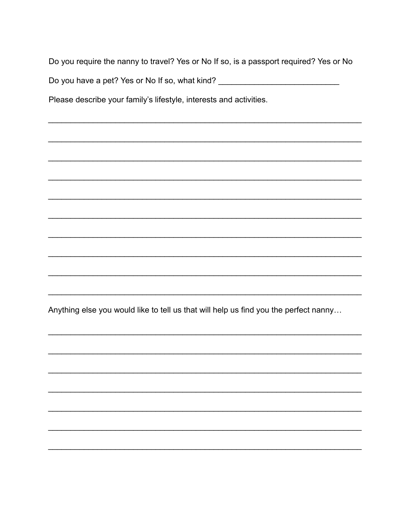Do you require the nanny to travel? Yes or No If so, is a passport required? Yes or No

Do you have a pet? Yes or No If so, what kind? \_\_\_\_\_\_\_\_\_\_\_\_\_\_\_\_\_\_\_\_\_\_\_\_\_\_\_\_\_\_\_\_\_

Please describe your family's lifestyle, interests and activities.

Anything else you would like to tell us that will help us find you the perfect nanny...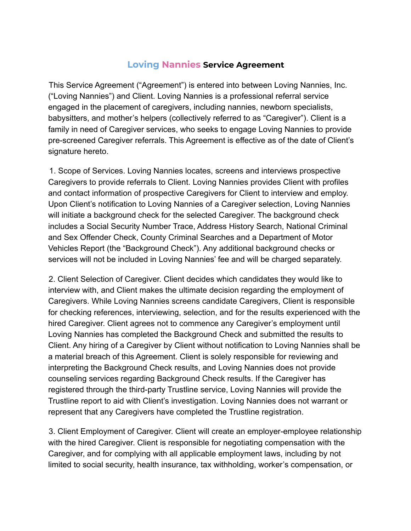## **Loving Nannies Service Agreement**

This Service Agreement ("Agreement") is entered into between Loving Nannies, Inc. ("Loving Nannies") and Client. Loving Nannies is a professional referral service engaged in the placement of caregivers, including nannies, newborn specialists, babysitters, and mother's helpers (collectively referred to as "Caregiver"). Client is a family in need of Caregiver services, who seeks to engage Loving Nannies to provide pre-screened Caregiver referrals. This Agreement is effective as of the date of Client's signature hereto.

1. Scope of Services. Loving Nannies locates, screens and interviews prospective Caregivers to provide referrals to Client. Loving Nannies provides Client with profiles and contact information of prospective Caregivers for Client to interview and employ. Upon Client's notification to Loving Nannies of a Caregiver selection, Loving Nannies will initiate a background check for the selected Caregiver. The background check includes a Social Security Number Trace, Address History Search, National Criminal and Sex Offender Check, County Criminal Searches and a Department of Motor Vehicles Report (the "Background Check"). Any additional background checks or services will not be included in Loving Nannies' fee and will be charged separately.

2. Client Selection of Caregiver. Client decides which candidates they would like to interview with, and Client makes the ultimate decision regarding the employment of Caregivers. While Loving Nannies screens candidate Caregivers, Client is responsible for checking references, interviewing, selection, and for the results experienced with the hired Caregiver. Client agrees not to commence any Caregiver's employment until Loving Nannies has completed the Background Check and submitted the results to Client. Any hiring of a Caregiver by Client without notification to Loving Nannies shall be a material breach of this Agreement. Client is solely responsible for reviewing and interpreting the Background Check results, and Loving Nannies does not provide counseling services regarding Background Check results. If the Caregiver has registered through the third-party Trustline service, Loving Nannies will provide the Trustline report to aid with Client's investigation. Loving Nannies does not warrant or represent that any Caregivers have completed the Trustline registration.

3. Client Employment of Caregiver. Client will create an employer-employee relationship with the hired Caregiver. Client is responsible for negotiating compensation with the Caregiver, and for complying with all applicable employment laws, including by not limited to social security, health insurance, tax withholding, worker's compensation, or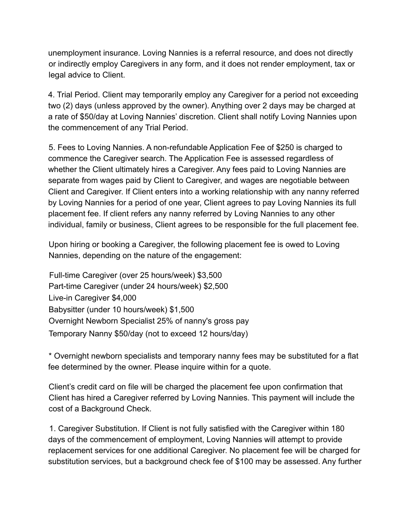unemployment insurance. Loving Nannies is a referral resource, and does not directly or indirectly employ Caregivers in any form, and it does not render employment, tax or legal advice to Client.

4. Trial Period. Client may temporarily employ any Caregiver for a period not exceeding two (2) days (unless approved by the owner). Anything over 2 days may be charged at a rate of \$50/day at Loving Nannies' discretion. Client shall notify Loving Nannies upon the commencement of any Trial Period.

5. Fees to Loving Nannies. A non-refundable Application Fee of \$250 is charged to commence the Caregiver search. The Application Fee is assessed regardless of whether the Client ultimately hires a Caregiver. Any fees paid to Loving Nannies are separate from wages paid by Client to Caregiver, and wages are negotiable between Client and Caregiver. If Client enters into a working relationship with any nanny referred by Loving Nannies for a period of one year, Client agrees to pay Loving Nannies its full placement fee. If client refers any nanny referred by Loving Nannies to any other individual, family or business, Client agrees to be responsible for the full placement fee.

Upon hiring or booking a Caregiver, the following placement fee is owed to Loving Nannies, depending on the nature of the engagement:

Full-time Caregiver (over 25 hours/week) \$3,500 Part-time Caregiver (under 24 hours/week) \$2,500 Live-in Caregiver \$4,000 Babysitter (under 10 hours/week) \$1,500 Overnight Newborn Specialist 25% of nanny's gross pay Temporary Nanny \$50/day (not to exceed 12 hours/day)

\* Overnight newborn specialists and temporary nanny fees may be substituted for a flat fee determined by the owner. Please inquire within for a quote.

Client's credit card on file will be charged the placement fee upon confirmation that Client has hired a Caregiver referred by Loving Nannies. This payment will include the cost of a Background Check.

1. Caregiver Substitution. If Client is not fully satisfied with the Caregiver within 180 days of the commencement of employment, Loving Nannies will attempt to provide replacement services for one additional Caregiver. No placement fee will be charged for substitution services, but a background check fee of \$100 may be assessed. Any further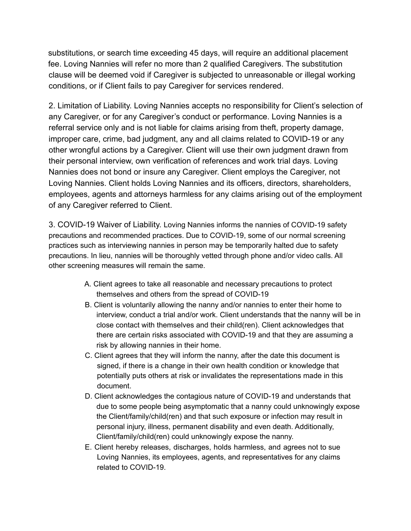substitutions, or search time exceeding 45 days, will require an additional placement fee. Loving Nannies will refer no more than 2 qualified Caregivers. The substitution clause will be deemed void if Caregiver is subjected to unreasonable or illegal working conditions, or if Client fails to pay Caregiver for services rendered.

2. Limitation of Liability. Loving Nannies accepts no responsibility for Client's selection of any Caregiver, or for any Caregiver's conduct or performance. Loving Nannies is a referral service only and is not liable for claims arising from theft, property damage, improper care, crime, bad judgment, any and all claims related to COVID-19 or any other wrongful actions by a Caregiver. Client will use their own judgment drawn from their personal interview, own verification of references and work trial days. Loving Nannies does not bond or insure any Caregiver. Client employs the Caregiver, not Loving Nannies. Client holds Loving Nannies and its officers, directors, shareholders, employees, agents and attorneys harmless for any claims arising out of the employment of any Caregiver referred to Client.

3. COVID-19 Waiver of Liability. Loving Nannies informs the nannies of COVID-19 safety precautions and recommended practices. Due to COVID-19, some of our normal screening practices such as interviewing nannies in person may be temporarily halted due to safety precautions. In lieu, nannies will be thoroughly vetted through phone and/or video calls. All other screening measures will remain the same.

- A. Client agrees to take all reasonable and necessary precautions to protect themselves and others from the spread of COVID-19
- B. Client is voluntarily allowing the nanny and/or nannies to enter their home to interview, conduct a trial and/or work. Client understands that the nanny will be in close contact with themselves and their child(ren). Client acknowledges that there are certain risks associated with COVID-19 and that they are assuming a risk by allowing nannies in their home.
- C. Client agrees that they will inform the nanny, after the date this document is signed, if there is a change in their own health condition or knowledge that potentially puts others at risk or invalidates the representations made in this document.
- D. Client acknowledges the contagious nature of COVID-19 and understands that due to some people being asymptomatic that a nanny could unknowingly expose the Client/family/child(ren) and that such exposure or infection may result in personal injury, illness, permanent disability and even death. Additionally, Client/family/child(ren) could unknowingly expose the nanny.
- E. Client hereby releases, discharges, holds harmless, and agrees not to sue Loving Nannies, its employees, agents, and representatives for any claims related to COVID-19.